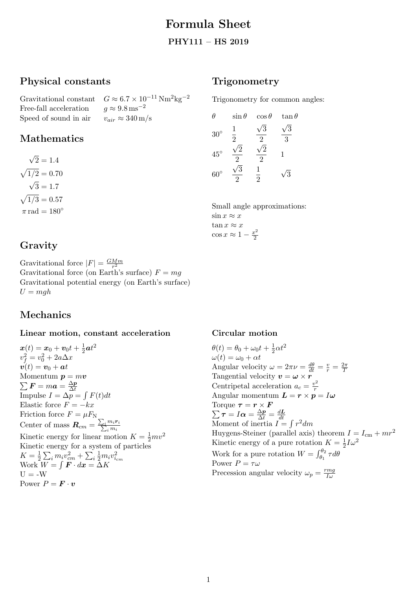# Formula Sheet

#### PHY111 – HS 2019

# Physical constants

Gravitational constant  $G \approx 6.7 \times 10^{-11} \text{ Nm}^2 \text{kg}^{-2}$ Free-fall acceleration  $q \approx 9.8 \,\mathrm{ms}^{-2}$ Speed of sound in air  $v_{air} \approx 340 \,\mathrm{m/s}$ 

# Mathematics

√  $2 = 1.4$  $\sqrt{1/2} = 0.70$ √  $3 = 1.7$  $\sqrt{1/3} = 0.57$  $\pi$  rad = 180 $\degree$ 

# Gravity

Gravitational force  $|F| = \frac{GMm}{r^2}$  $r^2$ Gravitational force (on Earth's surface)  $F = mg$ Gravitational potential energy (on Earth's surface)  $U = mgh$ 

# Mechanics

### Linear motion, constant acceleration

 $\boldsymbol{x}(t) = \boldsymbol{x}_0 + \boldsymbol{v}_0 t + \frac{1}{2}$  $\frac{1}{2}$ at $^2$  $v_f^2 = v_0^2 + 2a\Delta x$  $\boldsymbol{v}(t) = \boldsymbol{v}_0 + \boldsymbol{a}t$ Momentum  $p = mv$  $\sum \bm{F} = m \bm{a} = \frac{\Delta \bm{p}}{\Delta t}$ ∆t Impulse  $I = \Delta p = \int F(t)dt$ Elastic force  $F = -kx$ Friction force  $F=\mu F_\text{N}$ Center of mass  $\boldsymbol{R}_{cm} = \frac{\sum_i m_i \boldsymbol{r}_i}{\sum_i m_i}$ Kinetic energy for linear motion  $K = \frac{1}{2}mv^2$ Kinetic energy for a system of particles  $K=\frac{1}{2}$  $\frac{1}{2}\sum_i m_i v_{cm}^2 + \sum_i \frac{1}{2} m_i v_{i_{cm}}^2$ Work  $W = \int \boldsymbol{F} \cdot d\boldsymbol{x} = \Delta K$  $U = -W$ Power  $P = \mathbf{F} \cdot \mathbf{v}$ 

## **Trigonometry**

Trigonometry for common angles:

| Ĥ            | $\sin\theta$        | $\cos\theta$        | $\tan \theta$ |
|--------------|---------------------|---------------------|---------------|
| $30^\circ$   | 1<br>$\overline{2}$ | 3<br>$\mathfrak{D}$ | 3<br>3        |
| $45^{\circ}$ | 2                   | 2                   | 1             |
| $60^\circ$   |                     | $\overline{2}$      | 3             |

Small angle approximations:  $\sin x \approx x$  $\tan x \approx x$  $\cos x \approx 1 - \frac{x^2}{2}$ 2

#### Circular motion

 $\theta(t) = \theta_0 + \omega_0 t + \frac{1}{2}$  $rac{1}{2}\alpha t^2$  $\omega(t) = \omega_0 + \alpha t$ Angular velocity  $\omega = 2\pi \nu = \frac{d\theta}{dt} = \frac{v}{r} = \frac{2\pi}{T}$ T Tangential velocity  $\boldsymbol{v} = \boldsymbol{\omega} \times \boldsymbol{r}$ Centripetal acceleration  $a_c = \frac{v^2}{r}$ r Angular momentum  $\mathbf{L} = \mathbf{r} \times \mathbf{p} = I \boldsymbol{\omega}$ Torque  $\sum$  $\bm{\tau} = \bm{r} \times \bm{F}$  $\boldsymbol{\tau}=I\boldsymbol{\alpha}=\frac{\Delta \boldsymbol{p}}{\Delta t}=\frac{d\boldsymbol{L}}{dt}$  $\Delta t - I\alpha = \frac{\Delta t}{\Delta t} - \frac{d\overline{t}}{dt}$ <br>Moment of inertia  $I = \int r^2 dm$ Huygens-Steiner (parallel axis) theorem  $I = I_{cm} + mr^2$ Kinetic energy of a pure rotation  $K=\frac{1}{2}$  $\frac{1}{2}I\omega^2$ Work for a pure rotation  $W = \int_{\theta_1}^{\theta_2} \tau d\theta$ Power  $P = \tau \omega$ Precession angular velocity  $\omega_p = \frac{rmg}{I\omega}$  $I\omega$